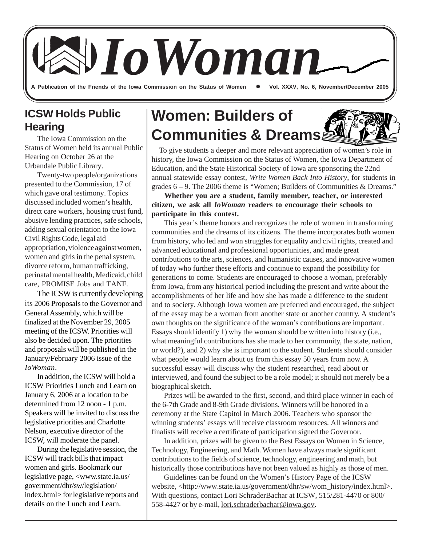A Publication of the Friends of the Iowa Commission on the Status of Women **Canal Vichel XXXV**, No. 6, November/December 2005 *IoWoman*

## **ICSW Holds Public Hearing**

The Iowa Commission on the Status of Women held its annual Public Hearing on October 26 at the Urbandale Public Library.

Twenty-two people/organizations presented to the Commission, 17 of which gave oral testimony. Topics discussed included women's health, direct care workers, housing trust fund, abusive lending practices, safe schools, adding sexual orientation to the Iowa Civil Rights Code, legal aid appropriation, violence against women, women and girls in the penal system, divorce reform, human trafficking, perinatal mental health, Medicaid, child care, PROMISE Jobs and TANF.

The ICSW is currently developing its 2006 Proposals to the Governor and General Assembly, which will be finalized at the November 29, 2005 meeting of the ICSW. Priorities will also be decided upon. The priorities and proposals will be published in the January/February 2006 issue of the *IoWoman*.

In addition, the ICSW will hold a ICSW Priorities Lunch and Learn on January 6, 2006 at a location to be determined from 12 noon - 1 p.m. Speakers will be invited to discuss the legislative priorities and Charlotte Nelson, executive director of the ICSW, will moderate the panel.

During the legislative session, the ICSW will track bills that impact women and girls. Bookmark our legislative page, <www.state.ia.us/ government/dhr/sw/legislation/ index.html> for legislative reports and details on the Lunch and Learn.

# **Women: Builders of Communities & Dreams**

 To give students a deeper and more relevant appreciation of women's role in history, the Iowa Commission on the Status of Women, the Iowa Department of Education, and the State Historical Society of Iowa are sponsoring the 22nd annual statewide essay contest, *Write Women Back Into History*, for students in grades  $6 - 9$ . The 2006 theme is "Women; Builders of Communities & Dreams."

 **Whether you are a student, family member, teacher, or interested citizen, we ask all** *IoWoman* **readers to encourage their schools to participate in this contest.**

This year's theme honors and recognizes the role of women in transforming communities and the dreams of its citizens. The theme incorporates both women from history, who led and won struggles for equality and civil rights, created and advanced educational and professional opportunities, and made great contributions to the arts, sciences, and humanistic causes, and innovative women of today who further these efforts and continue to expand the possibility for generations to come. Students are encouraged to choose a woman, preferably from Iowa, from any historical period including the present and write about the accomplishments of her life and how she has made a difference to the student and to society. Although Iowa women are preferred and encouraged, the subject of the essay may be a woman from another state or another country. A student's own thoughts on the significance of the woman's contributions are important. Essays should identify 1) why the woman should be written into history (i.e., what meaningful contributions has she made to her community, the state, nation, or world?), and 2) why she is important to the student. Students should consider what people would learn about us from this essay 50 years from now. A successful essay will discuss why the student researched, read about or interviewed, and found the subject to be a role model; it should not merely be a biographical sketch.

Prizes will be awarded to the first, second, and third place winner in each of the 6-7th Grade and 8-9th Grade divisions. Winners will be honored in a ceremony at the State Capitol in March 2006. Teachers who sponsor the winning students' essays will receive classroom resources. All winners and finalists will receive a certificate of participation signed the Governor.

In addition, prizes will be given to the Best Essays on Women in Science, Technology, Engineering, and Math. Women have always made significant contributions to the fields of science, technology, engineering and math, but historically those contributions have not been valued as highly as those of men.

Guidelines can be found on the Women's History Page of the ICSW website, <http://www.state.ia.us/government/dhr/sw/wom\_history/index.html>. With questions, contact Lori SchraderBachar at ICSW, 515/281-4470 or 800/ 558-4427 or by e-mail, lori.schraderbachar@iowa.gov.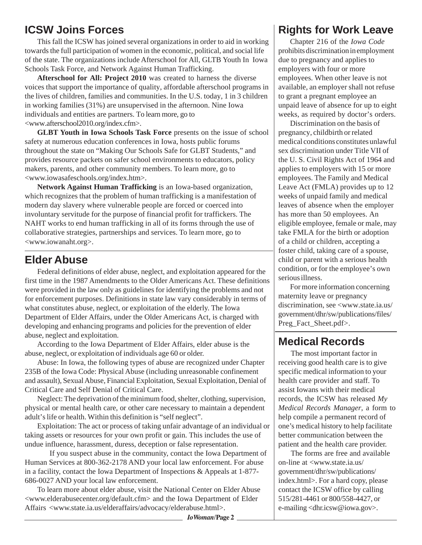## **ICSW Joins Forces**

This fall the ICSW has joined several organizations in order to aid in working towards the full participation of women in the economic, political, and social life of the state. The organizations include Afterschool for All, GLTB Youth In Iowa Schools Task Force, and Network Against Human Trafficking.

**Afterschool for All: Project 2010** was created to harness the diverse voices that support the importance of quality, affordable afterschool programs in the lives of children, families and communities. In the U.S. today, 1 in 3 children in working families (31%) are unsupervised in the afternoon. Nine Iowa individuals and entities are partners. To learn more, go to <www.afterschool2010.org/index.cfm>.

**GLBT Youth in Iowa Schools Task Force** presents on the issue of school safety at numerous education conferences in Iowa, hosts public forums throughout the state on "Making Our Schools Safe for GLBT Students," and provides resource packets on safer school environments to educators, policy makers, parents, and other community members. To learn more, go to <www.iowasafeschools.org/index.htm>.

**Network Against Human Trafficking** is an Iowa-based organization, which recognizes that the problem of human trafficking is a manifestation of modern day slavery where vulnerable people are forced or coerced into involuntary servitude for the purpose of financial profit for traffickers. The NAHT works to end human trafficking in all of its forms through the use of collaborative strategies, partnerships and services. To learn more, go to <www.iowanaht.org>.

#### **Elder Abuse**

Federal definitions of elder abuse, neglect, and exploitation appeared for the first time in the 1987 Amendments to the Older Americans Act. These definitions were provided in the law only as guidelines for identifying the problems and not for enforcement purposes. Definitions in state law vary considerably in terms of what constitutes abuse, neglect, or exploitation of the elderly. The Iowa Department of Elder Affairs, under the Older Americans Act, is charged with developing and enhancing programs and policies for the prevention of elder abuse, neglect and exploitation.

According to the Iowa Department of Elder Affairs, elder abuse is the abuse, neglect, or exploitation of individuals age 60 or older.

Abuse: In Iowa, the following types of abuse are recognized under Chapter 235B of the Iowa Code: Physical Abuse (including unreasonable confinement and assault), Sexual Abuse, Financial Exploitation, Sexual Exploitation, Denial of Critical Care and Self Denial of Critical Care.

Neglect: The deprivation of the minimum food, shelter, clothing, supervision, physical or mental health care, or other care necessary to maintain a dependent adult's life or health. Within this definition is "self neglect".

Exploitation: The act or process of taking unfair advantage of an individual or taking assets or resources for your own profit or gain. This includes the use of undue influence, harassment, duress, deception or false representation.

If you suspect abuse in the community, contact the Iowa Department of Human Services at 800-362-2178 AND your local law enforcement. For abuse in a facility, contact the Iowa Department of Inspections & Appeals at 1-877- 686-0027 AND your local law enforcement.

To learn more about elder abuse, visit the National Center on Elder Abuse <www.elderabusecenter.org/default.cfm> and the Iowa Department of Elder Affairs <www.state.ia.us/elderaffairs/advocacy/elderabuse.html>.

# **Rights for Work Leave**

Chapter 216 of the *Iowa Code* prohibits discrimination in employment due to pregnancy and applies to employers with four or more employees. When other leave is not available, an employer shall not refuse to grant a pregnant employee an unpaid leave of absence for up to eight weeks, as required by doctor's orders.

Discrimination on the basis of pregnancy, childbirth or related medical conditions constitutes unlawful sex discrimination under Title VII of the U. S. Civil Rights Act of 1964 and applies to employers with 15 or more employees. The Family and Medical Leave Act (FMLA) provides up to 12 weeks of unpaid family and medical leaves of absence when the employer has more than 50 employees. An eligible employee, female or male, may take FMLA for the birth or adoption of a child or children, accepting a foster child, taking care of a spouse, child or parent with a serious health condition, or for the employee's own serious illness.

For more information concerning maternity leave or pregnancy discrimination, see <www.state.ia.us/ government/dhr/sw/publications/files/ Preg\_Fact\_Sheet.pdf>.

#### **Medical Records**

The most important factor in receiving good health care is to give specific medical information to your health care provider and staff. To assist Iowans with their medical records, the ICSW has released *My Medical Records Manager*, a form to help compile a permanent record of one's medical history to help facilitate better communication between the patient and the health care provider.

The forms are free and available on-line at <www.state.ia.us/ government/dhr/sw/publications/ index.html>. For a hard copy, please contact the ICSW office by calling 515/281-4461 or 800/558-4427, or e-mailing <dhr.icsw@iowa.gov>.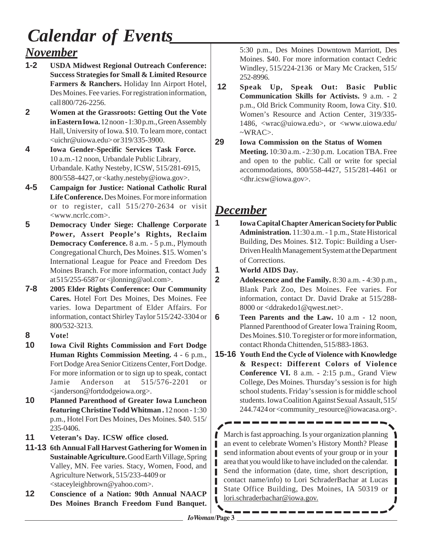# *November Calendar of Events*

- **1-2 USDA Midwest Regional Outreach Conference: Success Strategies for Small & Limited Resource Farmers & Ranchers.** Holiday Inn Airport Hotel, Des Moines. Fee varies. For registration information, call 800/726-2256.
- **2 Women at the Grassroots: Getting Out the Vote in Eastern Iowa.** 12 noon - 1:30 p.m., Green Assembly Hall, University of Iowa. \$10. To learn more, contact <uichr@uiowa.edu> or 319/335-3900.
- **4 Iowa Gender-Specific Services Task Force.** 10 a.m.-12 noon, Urbandale Public Library, Urbandale. Kathy Nesteby, ICSW, 515/281-6915, 800/558-4427, or <kathy.nesteby@iowa.gov>.
- **4-5 Campaign for Justice: National Catholic Rural Life Conference.** Des Moines. For more information or to register, call 515/270-2634 or visit <www.ncrlc.com>.
- **5 Democracy Under Siege: Challenge Corporate Power, Assert People's Rights, Reclaim Democracy Conference.** 8 a.m. - 5 p.m., Plymouth Congregational Church, Des Moines. \$15. Women's International League for Peace and Freedom Des Moines Branch. For more information, contact Judy at 515/255-6587 or <jlonning@aol.com>.
- **7-8 2005 Elder Rights Conference: Our Community Cares.** Hotel Fort Des Moines, Des Moines. Fee varies. Iowa Department of Elder Affairs. For information, contact Shirley Taylor 515/242-3304 or 800/532-3213.
- **8 Vote!**
- **10 Iowa Civil Rights Commission and Fort Dodge Human Rights Commission Meeting.** 4 - 6 p.m., Fort Dodge Area Senior Citizens Center, Fort Dodge. For more information or to sign up to speak, contact Jamie Anderson at 515/576-2201 or <janderson@fortdodgeiowa.org>.
- **10 Planned Parenthood of Greater Iowa Luncheon featuring Christine Todd Whitman .** 12 noon - 1:30 p.m., Hotel Fort Des Moines, Des Moines. \$40. 515/ 235-0406.
- **11 Veteran's Day. ICSW office closed.**
- **11-13 6th Annual Fall Harvest Gathering for Women in Sustainable Agriculture.** Good Earth Village, Spring Valley, MN. Fee varies. Stacy, Women, Food, and Agriculture Network, 515/233-4409 or <staceyleighbrown@yahoo.com>.
- **12 Conscience of a Nation: 90th Annual NAACP Des Moines Branch Freedom Fund Banquet.**

5:30 p.m., Des Moines Downtown Marriott, Des Moines. \$40. For more information contact Cedric Windley, 515/224-2136 or Mary Mc Cracken, 515/ 252-8996.

- **12 Speak Up, Speak Out: Basic Public Communication Skills for Activists.** 9 a.m. - 2 p.m., Old Brick Community Room, Iowa City. \$10. Women's Resource and Action Center, 319/335- 1486, <wrac@uiowa.edu>, or <www.uiowa.edu/  $\sim$ WRAC $>$ .
- **29 Iowa Commission on the Status of Women Meeting.** 10:30 a.m. - 2:30 p.m. Location TBA. Free and open to the public. Call or write for special accommodations, 800/558-4427, 515/281-4461 or <dhr.icsw@iowa.gov>.

# *December*

- **1 Iowa Capital Chapter American Society for Public Administration.** 11:30 a.m. - 1 p.m., State Historical Building, Des Moines. \$12. Topic: Building a User-Driven Health Management System at the Department of Corrections.
- **1 World AIDS Day.**
- **2 Adolescence and the Family.** 8:30 a.m. 4:30 p.m., Blank Park Zoo, Des Moines. Fee varies. For information, contact Dr. David Drake at 515/288- 8000 or <ddrakedo1@qwest.net>.
- **6 Teen Parents and the Law.** 10 a.m 12 noon, Planned Parenthood of Greater Iowa Training Room, Des Moines. \$10. To register or for more information, contact Rhonda Chittenden, 515/883-1863.
- **15-16 Youth End the Cycle of Violence with Knowledge & Respect: Different Colors of Violence Conference VI.** 8 a.m. - 2:15 p.m., Grand View College, Des Moines. Thursday's session is for high school students. Friday's session is for middle school students. Iowa Coalition Against Sexual Assault, 515/ 244.7424 or <community\_resource@iowacasa.org>.

March is fast approaching. Is your organization planning an event to celebrate Women's History Month? Please send information about events of your group or in your area that you would like to have included on the calendar. Send the information (date, time, short description, contact name/info) to Lori SchraderBachar at Lucas State Office Building, Des Moines, IA 50319 or lori.schraderbachar@iowa.gov.

U

r